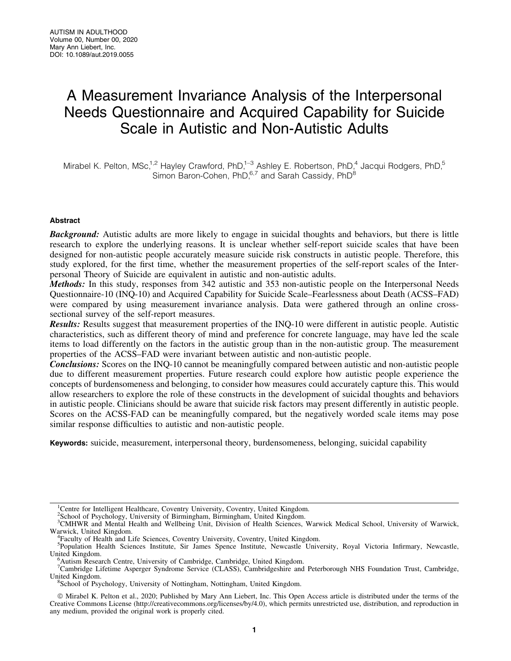# A Measurement Invariance Analysis of the Interpersonal Needs Questionnaire and Acquired Capability for Suicide Scale in Autistic and Non-Autistic Adults

Mirabel K. Pelton, MSc,<sup>1,2</sup> Hayley Crawford, PhD,<sup>1-3</sup> Ashley E. Robertson, PhD,<sup>4</sup> Jacqui Rodgers, PhD,<sup>5</sup> Simon Baron-Cohen, PhD,<sup>6,7</sup> and Sarah Cassidy, PhD<sup>8</sup>

# Abstract

**Background:** Autistic adults are more likely to engage in suicidal thoughts and behaviors, but there is little research to explore the underlying reasons. It is unclear whether self-report suicide scales that have been designed for non-autistic people accurately measure suicide risk constructs in autistic people. Therefore, this study explored, for the first time, whether the measurement properties of the self-report scales of the Interpersonal Theory of Suicide are equivalent in autistic and non-autistic adults.

Methods: In this study, responses from 342 autistic and 353 non-autistic people on the Interpersonal Needs Questionnaire-10 (INQ-10) and Acquired Capability for Suicide Scale–Fearlessness about Death (ACSS–FAD) were compared by using measurement invariance analysis. Data were gathered through an online crosssectional survey of the self-report measures.

Results: Results suggest that measurement properties of the INQ-10 were different in autistic people. Autistic characteristics, such as different theory of mind and preference for concrete language, may have led the scale items to load differently on the factors in the autistic group than in the non-autistic group. The measurement properties of the ACSS–FAD were invariant between autistic and non-autistic people.

**Conclusions:** Scores on the INQ-10 cannot be meaningfully compared between autistic and non-autistic people due to different measurement properties. Future research could explore how autistic people experience the concepts of burdensomeness and belonging, to consider how measures could accurately capture this. This would allow researchers to explore the role of these constructs in the development of suicidal thoughts and behaviors in autistic people. Clinicians should be aware that suicide risk factors may present differently in autistic people. Scores on the ACSS-FAD can be meaningfully compared, but the negatively worded scale items may pose similar response difficulties to autistic and non-autistic people.

Keywords: suicide, measurement, interpersonal theory, burdensomeness, belonging, suicidal capability

<sup>2</sup>School of Psychology, University of Birmingham, Birmingham, United Kingdom.

<sup>&</sup>lt;sup>1</sup>Centre for Intelligent Healthcare, Coventry University, Coventry, United Kingdom.

<sup>&</sup>lt;sup>3</sup>CMHWR and Mental Health and Wellbeing Unit, Division of Health Sciences, Warwick Medical School, University of Warwick, Warwick, United Kingdom. <sup>4</sup>

<sup>&</sup>lt;sup>4</sup>Faculty of Health and Life Sciences, Coventry University, Coventry, United Kingdom.

<sup>&</sup>lt;sup>5</sup>Population Health Sciences Institute, Sir James Spence Institute, Newcastle University, Royal Victoria Infirmary, Newcastle, United Kingdom. <sup>6</sup>

<sup>&</sup>lt;sup>5</sup>Autism Research Centre, University of Cambridge, Cambridge, United Kingdom.

<sup>7</sup> Cambridge Lifetime Asperger Syndrome Service (CLASS), Cambridgeshire and Peterborough NHS Foundation Trust, Cambridge, United Kingdom. <sup>8</sup>

School of Psychology, University of Nottingham, Nottingham, United Kingdom.

ª Mirabel K. Pelton et al., 2020; Published by Mary Ann Liebert, Inc. This Open Access article is distributed under the terms of the Creative Commons License [\(http://creativecommons.org/licenses/by/4.0\)](http://creativecommons.org/licenses/by/4.0), which permits unrestricted use, distribution, and reproduction in any medium, provided the original work is properly cited.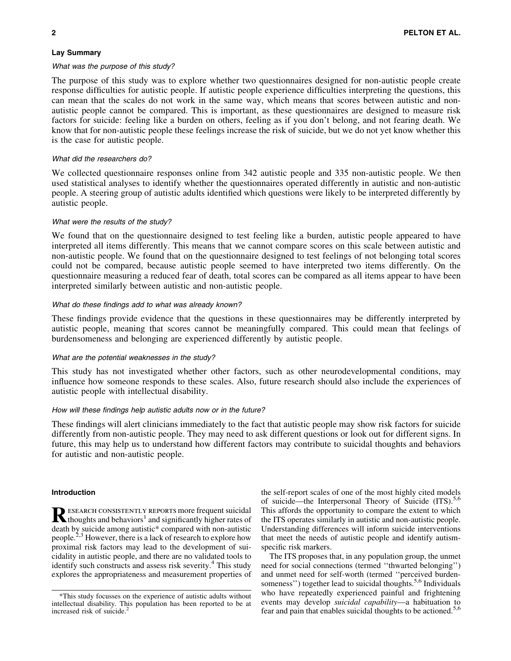# Lay Summary

# What was the purpose of this study?

The purpose of this study was to explore whether two questionnaires designed for non-autistic people create response difficulties for autistic people. If autistic people experience difficulties interpreting the questions, this can mean that the scales do not work in the same way, which means that scores between autistic and nonautistic people cannot be compared. This is important, as these questionnaires are designed to measure risk factors for suicide: feeling like a burden on others, feeling as if you don't belong, and not fearing death. We know that for non-autistic people these feelings increase the risk of suicide, but we do not yet know whether this is the case for autistic people.

# What did the researchers do?

We collected questionnaire responses online from 342 autistic people and 335 non-autistic people. We then used statistical analyses to identify whether the questionnaires operated differently in autistic and non-autistic people. A steering group of autistic adults identified which questions were likely to be interpreted differently by autistic people.

## What were the results of the study?

We found that on the questionnaire designed to test feeling like a burden, autistic people appeared to have interpreted all items differently. This means that we cannot compare scores on this scale between autistic and non-autistic people. We found that on the questionnaire designed to test feelings of not belonging total scores could not be compared, because autistic people seemed to have interpreted two items differently. On the questionnaire measuring a reduced fear of death, total scores can be compared as all items appear to have been interpreted similarly between autistic and non-autistic people.

# What do these findings add to what was already known?

These findings provide evidence that the questions in these questionnaires may be differently interpreted by autistic people, meaning that scores cannot be meaningfully compared. This could mean that feelings of burdensomeness and belonging are experienced differently by autistic people.

# What are the potential weaknesses in the study?

This study has not investigated whether other factors, such as other neurodevelopmental conditions, may influence how someone responds to these scales. Also, future research should also include the experiences of autistic people with intellectual disability.

### How will these findings help autistic adults now or in the future?

These findings will alert clinicians immediately to the fact that autistic people may show risk factors for suicide differently from non-autistic people. They may need to ask different questions or look out for different signs. In future, this may help us to understand how different factors may contribute to suicidal thoughts and behaviors for autistic and non-autistic people.

## Introduction

RESEARCH CONSISTENTLY REPORTS more frequent suicidal thoughts and behaviors<sup>1</sup> and significantly higher rates of death by suicide among autistic\* compared with non-autistic people.<sup>2,3</sup> However, there is a lack of research to explore how proximal risk factors may lead to the development of suicidality in autistic people, and there are no validated tools to identify such constructs and assess risk severity.<sup>4</sup> This study explores the appropriateness and measurement properties of the self-report scales of one of the most highly cited models of suicide—the Interpersonal Theory of Suicide (ITS).<sup>5,6</sup> This affords the opportunity to compare the extent to which the ITS operates similarly in autistic and non-autistic people. Understanding differences will inform suicide interventions that meet the needs of autistic people and identify autismspecific risk markers.

The ITS proposes that, in any population group, the unmet need for social connections (termed ''thwarted belonging'') and unmet need for self-worth (termed ''perceived burdensomeness'') together lead to suicidal thoughts.<sup>5,6</sup> Individuals who have repeatedly experienced painful and frightening events may develop *suicidal capability*—a habituation to fear and pain that enables suicidal thoughts to be actioned.<sup>5,6</sup>

<sup>\*</sup>This study focusses on the experience of autistic adults without intellectual disability. This population has been reported to be at increased risk of suicide.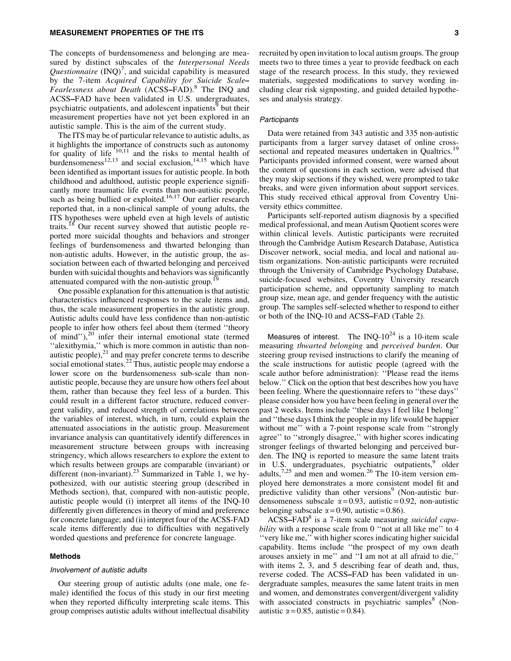### MEASUREMENT PROPERTIES OF THE ITS 3

The concepts of burdensomeness and belonging are measured by distinct subscales of the *Interpersonal Needs* Questionnaire  $(INQ)^7$ , and suicidal capability is measured by the 7-item *Acquired Capability for Suicide Scale*– *Fearlessness about Death* (ACSS–FAD).<sup>8</sup> The INQ and ACSS–FAD have been validated in U.S. undergraduates, psychiatric outpatients, and adolescent inpatients<sup>9</sup> but their measurement properties have not yet been explored in an autistic sample. This is the aim of the current study.

The ITS may be of particular relevance to autistic adults, as it highlights the importance of constructs such as autonomy for quality of life  $10,11$  and the risks to mental health of burdensomeness<sup>12,13</sup> and social exclusion,<sup>14,15</sup> which have been identified as important issues for autistic people. In both childhood and adulthood, autistic people experience significantly more traumatic life events than non-autistic people, such as being bullied or exploited.<sup>16,17</sup> Our earlier research reported that, in a non-clinical sample of young adults, the ITS hypotheses were upheld even at high levels of autistic traits.<sup>18</sup> Our recent survey showed that autistic people reported more suicidal thoughts and behaviors and stronger feelings of burdensomeness and thwarted belonging than non-autistic adults. However, in the autistic group, the association between each of thwarted belonging and perceived burden with suicidal thoughts and behaviors was significantly attenuated compared with the non-autistic group.<sup>1</sup>

One possible explanation for this attenuation is that autistic characteristics influenced responses to the scale items and, thus, the scale measurement properties in the autistic group. Autistic adults could have less confidence than non-autistic people to infer how others feel about them (termed ''theory of mind''),20 infer their internal emotional state (termed ''alexithymia,'' which is more common in autistic than nonautistic people), $^{21}$  and may prefer concrete terms to describe social emotional states.<sup>22</sup> Thus, autistic people may endorse a lower score on the burdensomeness sub-scale than nonautistic people, because they are unsure how others feel about them, rather than because they feel less of a burden. This could result in a different factor structure, reduced convergent validity, and reduced strength of correlations between the variables of interest, which, in turn, could explain the attenuated associations in the autistic group. Measurement invariance analysis can quantitatively identify differences in measurement structure between groups with increasing stringency, which allows researchers to explore the extent to which results between groups are comparable (invariant) or different (non-invariant).<sup>23</sup> Summarized in Table 1, we hypothesized, with our autistic steering group (described in Methods section), that, compared with non-autistic people, autistic people would (i) interpret all items of the INQ-10 differently given differences in theory of mind and preference for concrete language; and (ii) interpret four of the ACSS-FAD scale items differently due to difficulties with negatively worded questions and preference for concrete language.

#### Methods

#### Involvement of autistic adults

Our steering group of autistic adults (one male, one female) identified the focus of this study in our first meeting when they reported difficulty interpreting scale items. This group comprises autistic adults without intellectual disability

recruited by open invitation to local autism groups. The group meets two to three times a year to provide feedback on each stage of the research process. In this study, they reviewed materials, suggested modifications to survey wording including clear risk signposting, and guided detailed hypotheses and analysis strategy.

# **Participants**

Data were retained from 343 autistic and 335 non-autistic participants from a larger survey dataset of online crosssectional and repeated measures undertaken in Qualtrics.<sup>1</sup> Participants provided informed consent, were warned about the content of questions in each section, were advised that they may skip sections if they wished, were prompted to take breaks, and were given information about support services. This study received ethical approval from Coventry University ethics committee.

Participants self-reported autism diagnosis by a specified medical professional, and mean Autism Quotient scores were within clinical levels. Autistic participants were recruited through the Cambridge Autism Research Database, Autistica Discover network, social media, and local and national autism organizations. Non-autistic participants were recruited through the University of Cambridge Psychology Database, suicide-focused websites, Coventry University research participation scheme, and opportunity sampling to match group size, mean age, and gender frequency with the autistic group. The samples self-selected whether to respond to either or both of the INQ-10 and ACSS–FAD (Table 2).

Measures of interest. The INQ- $10^{24}$  is a 10-item scale measuring *thwarted belonging* and *perceived burden*. Our steering group revised instructions to clarify the meaning of the scale instructions for autistic people (agreed with the scale author before administration): ''Please read the items below.'' Click on the option that best describes how you have been feeling. Where the questionnaire refers to ''these days'' please consider how you have been feeling in general over the past 2 weeks. Items include ''these days I feel like I belong'' and ''these days I think the people in my life would be happier without me'' with a 7-point response scale from ''strongly agree'' to ''strongly disagree,'' with higher scores indicating stronger feelings of thwarted belonging and perceived burden. The INQ is reported to measure the same latent traits in U.S. undergraduates, psychiatric outpatients,<sup>9</sup> older adults, $7.25$  and men and women.<sup>26</sup> The 10-item version employed here demonstrates a more consistent model fit and predictive validity than other versions<sup>9</sup> (Non-autistic burdensomeness subscale  $\alpha = 0.93$ , autistic = 0.92, non-autistic belonging subscale  $\alpha$  = 0.90, autistic = 0.86).

ACSS–FAD8 is a 7-item scale measuring *suicidal capability* with a response scale from 0 "not at all like me" to 4 ''very like me,'' with higher scores indicating higher suicidal capability. Items include ''the prospect of my own death arouses anxiety in me'' and ''I am not at all afraid to die,'' with items 2, 3, and 5 describing fear of death and, thus, reverse coded. The ACSS–FAD has been validated in undergraduate samples, measures the same latent traits in men and women, and demonstrates convergent/divergent validity with associated constructs in psychiatric samples $8$  (Nonautistic  $\alpha = 0.85$ , autistic = 0.84).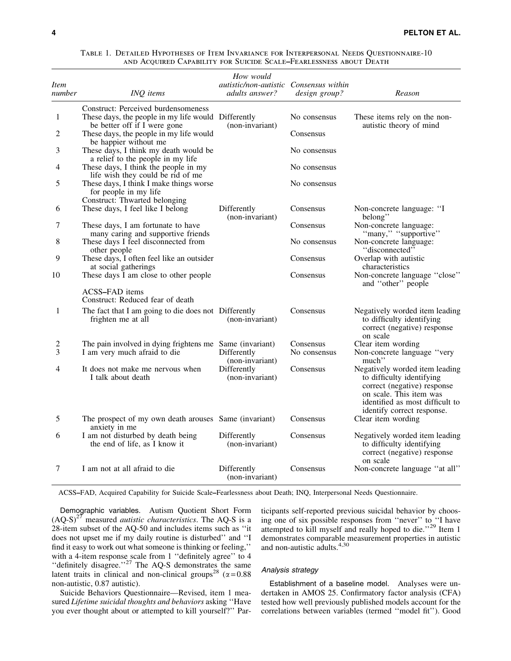| <i>Item</i><br>number | INQ items                                                                                                                  | How would<br><i>autistic/non-autistic Consensus within</i><br>adults answer? | design group?             | Reason                                                                                                                                                                                 |
|-----------------------|----------------------------------------------------------------------------------------------------------------------------|------------------------------------------------------------------------------|---------------------------|----------------------------------------------------------------------------------------------------------------------------------------------------------------------------------------|
| 1                     | Construct: Perceived burdensomeness<br>These days, the people in my life would Differently<br>be better off if I were gone | (non-invariant)                                                              | No consensus              | These items rely on the non-<br>autistic theory of mind                                                                                                                                |
| 2                     | These days, the people in my life would<br>be happier without me                                                           |                                                                              | Consensus                 |                                                                                                                                                                                        |
| 3                     | These days, I think my death would be<br>a relief to the people in my life                                                 |                                                                              | No consensus              |                                                                                                                                                                                        |
| 4                     | These days, I think the people in my<br>life wish they could be rid of me                                                  |                                                                              | No consensus              |                                                                                                                                                                                        |
| 5                     | These days, I think I make things worse<br>for people in my life<br>Construct: Thwarted belonging                          |                                                                              | No consensus              |                                                                                                                                                                                        |
| 6                     | These days, I feel like I belong                                                                                           | Differently<br>(non-invariant)                                               | Consensus                 | Non-concrete language: "I<br>belong"                                                                                                                                                   |
| 7                     | These days, I am fortunate to have<br>many caring and supportive friends                                                   |                                                                              | Consensus                 | Non-concrete language:<br>"many," "supportive"                                                                                                                                         |
| 8                     | These days I feel disconnected from<br>other people                                                                        |                                                                              | No consensus              | Non-concrete language:<br>"disconnected"                                                                                                                                               |
| 9                     | These days, I often feel like an outsider<br>at social gatherings                                                          |                                                                              | Consensus                 | Overlap with autistic<br>characteristics                                                                                                                                               |
| 10                    | These days I am close to other people                                                                                      |                                                                              | Consensus                 | Non-concrete language "close"<br>and "other" people                                                                                                                                    |
|                       | ACSS-FAD items<br>Construct: Reduced fear of death                                                                         |                                                                              |                           |                                                                                                                                                                                        |
| 1                     | The fact that I am going to die does not Differently<br>frighten me at all                                                 | (non-invariant)                                                              | Consensus                 | Negatively worded item leading<br>to difficulty identifying<br>correct (negative) response<br>on scale                                                                                 |
| 2<br>3                | The pain involved in dying frightens me Same (invariant)<br>I am very much afraid to die                                   | Differently                                                                  | Consensus<br>No consensus | Clear item wording<br>Non-concrete language "very                                                                                                                                      |
|                       |                                                                                                                            | (non-invariant)                                                              |                           | $much$ <sup>"</sup>                                                                                                                                                                    |
| 4                     | It does not make me nervous when<br>I talk about death                                                                     | Differently<br>(non-invariant)                                               | Consensus                 | Negatively worded item leading<br>to difficulty identifying<br>correct (negative) response<br>on scale. This item was<br>identified as most difficult to<br>identify correct response. |
| 5                     | The prospect of my own death arouses Same (invariant)<br>anxiety in me                                                     |                                                                              | Consensus                 | Clear item wording                                                                                                                                                                     |
| 6                     | I am not disturbed by death being<br>the end of life, as I know it                                                         | Differently<br>(non-invariant)                                               | Consensus                 | Negatively worded item leading<br>to difficulty identifying<br>correct (negative) response<br>on scale                                                                                 |
| 7                     | I am not at all afraid to die                                                                                              | Differently<br>(non-invariant)                                               | Consensus                 | Non-concrete language "at all"                                                                                                                                                         |

Table 1. Detailed Hypotheses of Item Invariance for Interpersonal Needs Questionnaire-10 and Acquired Capability for Suicide Scale–Fearlessness about Death

ACSS–FAD, Acquired Capability for Suicide Scale–Fearlessness about Death; INQ, Interpersonal Needs Questionnaire.

Demographic variables. Autism Quotient Short Form  $(AQ-S)^{27}$  measured *autistic characteristics*. The AQ-S is a 28-item subset of the AQ-50 and includes items such as ''it does not upset me if my daily routine is disturbed'' and ''I find it easy to work out what someone is thinking or feeling,'' with a 4-item response scale from 1 "definitely agree" to 4 "definitely disagree."<sup>27</sup> The AQ-S demonstrates the same latent traits in clinical and non-clinical groups<sup>28</sup> ( $\alpha$  = 0.88 non-autistic, 0.87 autistic).

Suicide Behaviors Questionnaire—Revised, item 1 measured *Lifetime suicidal thoughts and behaviors* asking ''Have you ever thought about or attempted to kill yourself?'' Participants self-reported previous suicidal behavior by choosing one of six possible responses from ''never'' to ''I have attempted to kill myself and really hoped to die."<sup>29</sup> Item 1 demonstrates comparable measurement properties in autistic and non-autistic adults.<sup>4,30</sup>

# Analysis strategy

Establishment of a baseline model. Analyses were undertaken in AMOS 25. Confirmatory factor analysis (CFA) tested how well previously published models account for the correlations between variables (termed ''model fit''). Good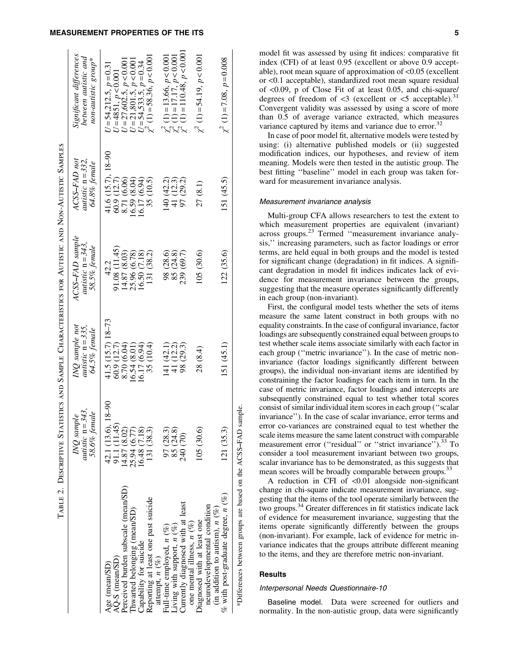# MEASUREMENT PROPERTIES OF THE ITS **FILLIPTITY CONSUMING THE ITS** 5

 $\bar{c}$ 

 $\overline{r}$ 

Ĺ

Ė

|                                                                                                                                 | TABLE 2. DESCRIPTIVE STATISTICS AND SAMPLE CHARACTERISTICS FOR AUTISTIC AND NON-AUTISTIC SAMPLES |                                                        |                                                         |                                                      |                                                                                                              |
|---------------------------------------------------------------------------------------------------------------------------------|--------------------------------------------------------------------------------------------------|--------------------------------------------------------|---------------------------------------------------------|------------------------------------------------------|--------------------------------------------------------------------------------------------------------------|
|                                                                                                                                 | autistic $n = 343$ ,<br>58.6% female<br>$MQ$ sample                                              | INQ sample not<br>autistic $n = 335$ ,<br>64.5% female | ACSS-FAD sample<br>autistic $n = 343$ ,<br>58.5% female | ACSS-FAD not<br>autistic $n = 332$ ,<br>64.8% female | Significant differences<br>between autistic and<br>non-autistic group*                                       |
| Perceived burden subscale (mean/SD)<br>AQ-S (mean/SD)<br>Age (mean/SD)                                                          | 42.1 (13.6), 18-90<br>91.1 (11.45)<br>14.87 (8.02)                                               | 41.5 (15.7) 18-73<br>60.9(12.7)<br>8.70 (6.04)         | 91.08 (11.45)<br>4.87 (8.03)<br>42.2                    | 41.6 (15.7), 18-90<br>60.9 (12.7)<br>8.71 (6.06)     | $U = 27,602.5, p < 0.001$<br>$U = 54,212.5, p = 0.31$<br>$U = 4851, p < 0.001$                               |
| Reporting at least one past suicide<br>(Inwarted belonging (mean/SD)<br>Capability for suicide<br>attempt, $n$ (%)              | 25.94 (6.77)<br>16.48 (7.18)<br>131 (38.3)                                                       | $16.54(8.01)$<br>$16.17(6.94)$<br>35 (10.4)            | 131 (38.2)<br>25.96 (6.78)<br>16.50 (7.18)              | 35 (10.5)<br>$16.59(8.04)$<br>$16.17(6.94)$          | $U = 54,533.5, p = 0.34$<br>$\chi^2$ (1) = 58.36, p < 0.001<br>$U = 21,801.5, p < 0.001$                     |
| Currently diagnosed with at least<br>one mental illness, $n$ (%)<br>Full-time employed, $n$ (%)<br>Living with support, $n$ (%) | 97 (28.3)<br>85 (24.8)<br>240 (70)                                                               | 141 (42.1)<br>41 (12.2)<br>98 (29.3)                   | 98 (28.6)<br>85 (24.8)<br>239 (69.7)                    | 140 (42.2)<br>41 (12.3)<br>97 (29.2)                 | $\chi^2$ (1) = 13.66, $p < 0.001$<br>$\chi^2$ (1) = 17.17, $p < 0.001$<br>$\chi^2$ (1) = 110.48, $p < 0.001$ |
| neurodevelopmental condition<br>(in addition to autism), $n$ (%)<br>iagnosed with at least one                                  | 105 (30.6)                                                                                       | 28 (8.4)                                               | 105(30.6)                                               | 27(8.1)                                              | $\chi^2$ (1) = 54.19, $p < 0.001$                                                                            |
| $%$ with post-graduate degree, $n$ (%)                                                                                          | 121 (35.3)                                                                                       | 151(45.1)                                              | 122 (35.6)                                              | 151 (45.5)                                           | $\chi^2$ (1) = 7.08, $p = 0.008$                                                                             |
| *Differences between groups are based on the ACSS-FAD sample.                                                                   |                                                                                                  |                                                        |                                                         |                                                      |                                                                                                              |

model fit was assessed by using fit indices: comparative fit index (CFI) of at least 0.95 (excellent or above 0.9 acceptable), root mean square of approximation of <0.05 (excellent or <0.1 acceptable), standardized root mean square residual of <0.09, p of Close Fit of at least 0.05, and chi-square/ degrees of freedom of  $\leq$ 3 (excellent or  $\leq$ 5 acceptable).<sup>3</sup> Convergent validity was assessed by using a score of more than 0.5 of average variance extracted, which measures variance captured by items and variance due to error. $32$ 

In case of poor model fit, alternative models were tested by using: (i) alternative published models or (ii) suggested modification indices, our hypotheses, and review of item meaning. Models were then tested in the autistic group. The best fitting ''baseline'' model in each group was taken forward for measurement invariance analysis.

#### Measurement invariance analysis

Multi-group CFA allows researchers to test the extent to which measurement properties are equivalent (invariant) across groups.23 Termed ''measurement invariance analysis,'' increasing parameters, such as factor loadings or error terms, are held equal in both groups and the model is tested for significant change (degradation) in fit indices. A significant degradation in model fit indices indicates lack of evidence for measurement invariance between the groups, suggesting that the measure operates significantly differently in each group (non-invariant).

First, the configural model tests whether the sets of items measure the same latent construct in both groups with no equality constraints. In the case of configural invariance, factor loadings are subsequently constrained equal between groups to test whether scale items associate similarly with each factor in each group ("metric invariance"). In the case of metric noninvariance (factor loadings significantly different between groups), the individual non-invariant items are identified by constraining the factor loadings for each item in turn. In the case of metric invariance, factor loadings and intercepts are subsequently constrained equal to test whether total scores consist of similar individual item scores in each group (''scalar invariance''). In the case of scalar invariance, error terms and error co-variances are constrained equal to test whether the scale items measure the same latent construct with comparable measurement error ("residual" or "strict invariance").<sup>33</sup> To consider a tool measurement invariant between two groups, scalar invariance has to be demonstrated, as this suggests that mean scores will be broadly comparable between groups.<sup>33</sup>

A reduction in CFI of  $\leq 0.01$  alongside non-significant change in chi-square indicate measurement invariance, suggesting that the items of the tool operate similarly between the two groups.34 Greater differences in fit statistics indicate lack of evidence for measurement invariance, suggesting that the items operate significantly differently between the groups (non-invariant). For example, lack of evidence for metric invariance indicates that the groups attribute different meaning to the items, and they are therefore metric non-invariant.

# Results

# Interpersonal Needs Questionnaire-10

Baseline model. Data were screened for outliers and normality. In the non-autistic group, data were significantly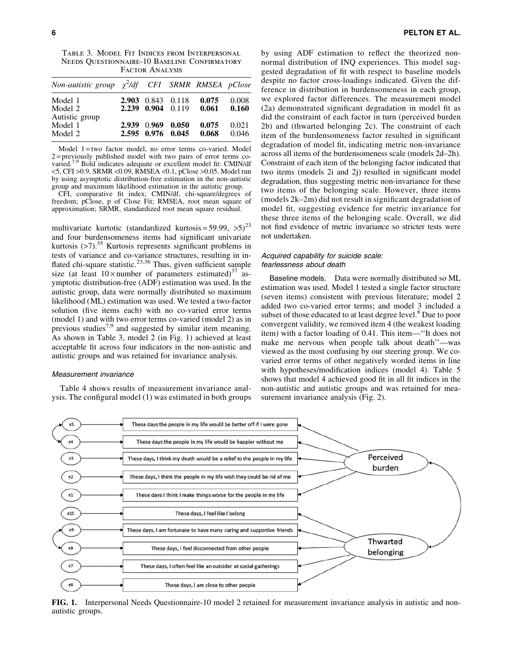Table 3. Model Fit Indices from Interpersonal Needs Questionnaire-10 Baseline Confirmatory Factor Analysis

| Non-autistic group $\chi^2$ /df CFI SRMR RMSEA pClose |             |                                        |                |                |
|-------------------------------------------------------|-------------|----------------------------------------|----------------|----------------|
| Model 1<br>Model 2                                    |             | 2.903 0.843 0.118<br>2.239 0.904 0.119 | 0.075<br>0.061 | 0.008<br>0.160 |
| Autistic group<br>Model 1<br>Model 2                  | 2.939 0.969 | 0.050<br>2.595 0.976 0.045             | 0.075<br>0.068 | 0.021<br>0.046 |

Model 1=two factor model, no error terms co-varied. Model  $2$ = previously published model with two pairs of error terms covaried.7,9 Bold indicates adequate or excellent model fit: CMIN/df <5, CFI >0.9, SRMR <0.09, RMSEA <0.1, pClose >0.05. Model run by using asymptotic distribution-free estimation in the non-autistic group and maximum likelihood estimation in the autistic group.

CFI, comparative fit index; CMIN/df, chi-square/degrees of freedom; pClose, p of Close Fit; RMSEA, root mean square of approximation; SRMR, standardized root mean square residual.

multivariate kurtotic (standardized kurtosis = 59.99,  $>5$ )<sup>23</sup> and four burdensomeness items had significant univariate kurtosis  $(>7)$ .<sup>35</sup> Kurtosis represents significant problems in tests of variance and co-variance structures, resulting in inflated chi-square statistic.<sup>23,36</sup> Thus, given sufficient sample size (at least  $10 \times$  number of parameters estimated)<sup>37</sup> asymptotic distribution-free (ADF) estimation was used. In the autistic group, data were normally distributed so maximum likelihood (ML) estimation was used. We tested a two-factor solution (five items each) with no co-varied error terms (model 1) and with two error terms co-varied (model 2) as in previous studies<sup>7,9</sup> and suggested by similar item meaning. As shown in Table 3, model 2 (in Fig. 1) achieved at least acceptable fit across four indicators in the non-autistic and autistic groups and was retained for invariance analysis.

# Measurement invariance

Table 4 shows results of measurement invariance analysis. The configural model (1) was estimated in both groups by using ADF estimation to reflect the theorized nonnormal distribution of INQ experiences. This model suggested degradation of fit with respect to baseline models despite no factor cross-loadings indicated. Given the difference in distribution in burdensomeness in each group, we explored factor differences. The measurement model (2a) demonstrated significant degradation in model fit as did the constraint of each factor in turn (perceived burden 2b) and (thwarted belonging 2c). The constraint of each item of the burdensomeness factor resulted in significant degradation of model fit, indicating metric non-invariance across all items of the burdensomeness scale (models 2d–2h). Constraint of each item of the belonging factor indicated that two items (models 2i and 2j) resulted in significant model degradation, thus suggesting metric non-invariance for these two items of the belonging scale. However, three items (models 2k–2m) did not result in significant degradation of model fit, suggesting evidence for metric invariance for these three items of the belonging scale. Overall, we did not find evidence of metric invariance so stricter tests were not undertaken.

# Acquired capability for suicide scale: fearlessness about death

Baseline models. Data were normally distributed so ML estimation was used. Model 1 tested a single factor structure (seven items) consistent with previous literature; model 2 added two co-varied error terms; and model 3 included a subset of those educated to at least degree level.<sup>8</sup> Due to poor convergent validity, we removed item 4 (the weakest loading item) with a factor loading of 0.41. This item—''It does not make me nervous when people talk about death''—was viewed as the most confusing by our steering group. We covaried error terms of other negatively worded items in line with hypotheses/modification indices (model 4). Table 5 shows that model 4 achieved good fit in all fit indices in the non-autistic and autistic groups and was retained for measurement invariance analysis (Fig. 2).



FIG. 1. Interpersonal Needs Questionnaire-10 model 2 retained for measurement invariance analysis in autistic and nonautistic groups.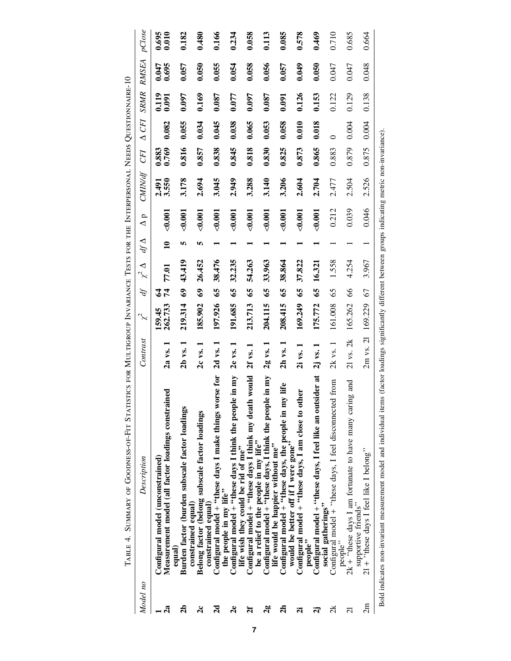|                         | TABLE 4. SUMMARY OF GOODNESS-OF-FIT STATISTICS FOR MULTIGROUP INVARIANCE TESTS FOR THE INTERPERSONAL NEEDS QUESTIONNAIRE-10                                    |              |                   |              |                 |              |            |                |                |              |                |                |                |
|-------------------------|----------------------------------------------------------------------------------------------------------------------------------------------------------------|--------------|-------------------|--------------|-----------------|--------------|------------|----------------|----------------|--------------|----------------|----------------|----------------|
| Model no                | Description                                                                                                                                                    | Contrast     | Ľ                 | df           | $\chi^2 \Delta$ | $df\Delta$   | $\Delta p$ | <b>CMIN/df</b> | <b>CFI</b>     | $\Delta$ CFI | <b>SRMR</b>    | <b>RMSEA</b>   | pClose         |
| 2a                      | Measurement model (all factor loadings constrained<br>Configural model (unconstrained)                                                                         | 2a vs.       | 262.733<br>159.45 | 74<br>₹      | 77.01           | $\mathbf{a}$ | 0.001      | 3.550<br>2.491 | 0.769<br>0.883 | 0.082        | 0.119<br>0.091 | 0.695<br>0.047 | 0.695<br>0.010 |
| 2b                      | Burden factor (burden subscale factor loadings<br>constrained equal)<br>equal                                                                                  | 2b vs.       | 219.314           | $\mathbf{e}$ | 43.419          | ın           | $0.001$    | 3.178          | 0.816          | 0.055        | 0.097          | 0.057          | 0.182          |
| $\alpha$                | Belong factor (belong subscale factor loadings<br>constrained equal)                                                                                           | 2c vs.       | 185.902           | $\mathbf{e}$ | 26.452          | n            | 0.001      | 2.694          | 0.857          | 0.034        | 0.169          | 0.050          | 0.480          |
| $\overline{\mathbf{a}}$ | Configural model + "these days I make things worse for<br>the people in my life"                                                                               | $2d$ vs. $1$ | 197.926           | $\mathbf{S}$ | 38.476          |              | 0.001      | 3.045          | 0.838          | 0.045        | 0.087          | 0.055          | 0.166          |
| 2e                      | Configural model + "these days I think the people in my<br>life wish they could be rid of me"                                                                  | 2e vs.       | 191.685           | 65           | 32.235          |              | 0.001      | 2.949          | 0.845          | 0.038        | 0.077          | 0.054          | 0.234          |
| 2f                      | Configural model + "these days I think my death would<br>be a relief to the people in my life"                                                                 | 2f vs.       | 213.713           | 65           | 54.263          |              | 0.001      | 3.288          | 0.818          | 0.065        | 0.097          | 0.058          | 0.058          |
| 2g                      | Configural model + "these days, I think the people in my<br>life would be happier without me"                                                                  | $2g$ vs. $1$ | 204.115           | 65           | 33.963          |              | 0.001      | 3.140          | 0.830          | 0.053        | 0.087          | 0.056          | 0.113          |
| $\mathbf{a}$            | ry life<br>Configural model + "these days, the people in m<br>would be better off if I were gone"                                                              | $2h$ vs. $1$ | 208.415           | 65           | 38.864          |              | $0.001$    | 3.206          | 0.825          | 0.058        | 0.091          | 0.057          | 0.085          |
| ä                       | ther<br>Configural model $+$ "these days, I am close to of                                                                                                     | $2i$ vs. $1$ | 169.249           | 65           | 37.822          |              | $0.001$    | 2.604          | 0.873          | 0.010        | 0.126          | 0.049          | 0.578          |
| ដ                       | Configural model + "these days, I feel like an outsider at<br>social gatherings"<br>people"                                                                    | $2j$ vs. $1$ | 175.772           | 65           | 16.321          |              | 0.001      | 2.704          | 0.865          | 0.018        | 0.153          | 0.050          | 0.469          |
| $\approx$               | Configural model + "these days, I feel disconnected from<br>people"                                                                                            | $2k$ vs. $1$ | 161.008           | 65           | 1.558           |              | 0.212      | 2.477          | 0.883          |              | 0.122          | 0.047          | 0.710          |
| ನ                       | $2k +$ "these days I am fortunate to have many caring and<br>supportive friends"                                                                               | 21 vs. 2k    | 165.262           | 89           | 4.254           |              | 0.039      | 2.504          | 0.879          | 0.004        | 0.129          | 0.047          | 0.685          |
| 2m                      | $21 +$ "these days I feel like I belong"                                                                                                                       | 2m vs. 21    | 169.229           | 67           | 3.967           |              | 0.046      | 2.526          | 0.875          | 0.004        | 0.138          | 0.048          | 0.664          |
|                         | Bold indicates non-invariant measurement model and individual items (factor loadings significantly different between groups indicating metric non-invariance). |              |                   |              |                 |              |            |                |                |              |                |                |                |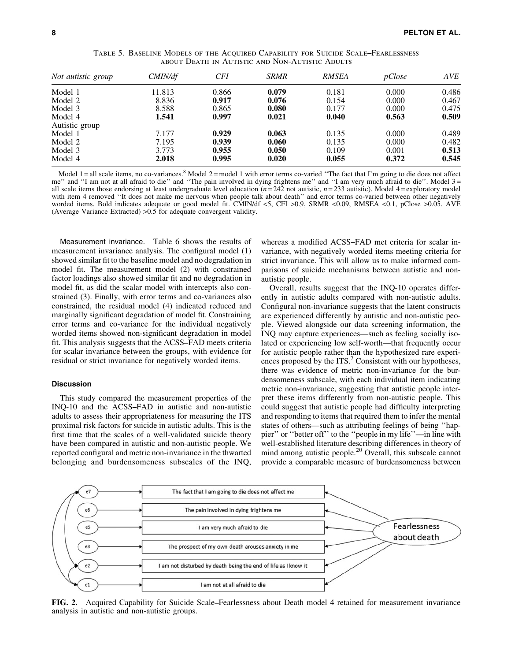| Not autistic group | CMIN/df | CFI   | <b>SRMR</b> | <b>RMSEA</b> | pClose | <b>AVE</b> |
|--------------------|---------|-------|-------------|--------------|--------|------------|
| Model 1            | 11.813  | 0.866 | 0.079       | 0.181        | 0.000  | 0.486      |
| Model 2            | 8.836   | 0.917 | 0.076       | 0.154        | 0.000  | 0.467      |
| Model 3            | 8.588   | 0.865 | 0.080       | 0.177        | 0.000  | 0.475      |
| Model 4            | 1.541   | 0.997 | 0.021       | 0.040        | 0.563  | 0.509      |
| Autistic group     |         |       |             |              |        |            |
| Model 1            | 7.177   | 0.929 | 0.063       | 0.135        | 0.000  | 0.489      |
| Model 2            | 7.195   | 0.939 | 0.060       | 0.135        | 0.000  | 0.482      |
| Model 3            | 3.773   | 0.955 | 0.050       | 0.109        | 0.001  | 0.513      |
| Model 4            | 2.018   | 0.995 | 0.020       | 0.055        | 0.372  | 0.545      |

Table 5. Baseline Models of the Acquired Capability for Suicide Scale–Fearlessness about Death in Autistic and Non-Autistic Adults

Model 1 = all scale items, no co-variances.<sup>8</sup> Model 2 = model 1 with error terms co-varied "The fact that I'm going to die does not affect me" and "I am not at all afraid to die" and "The pain involved in dying frightens me" and "I am very much afraid to die". Model 3 = all scale items those endorsing at least undergraduate level education  $(n=242 \text{ not autistic}, n=233 \text{ autistic})$ . Model  $4 = \text{exploratory model}$ with item 4 removed "It does not make me nervous when people talk about death" and error terms co-varied between other negatively worded items. Bold indicates adequate or good model fit. CMIN/df <5, CFI >0.9, SRMR <0.09, RMSEA <0.1, pClose >0.05. AVE (Average Variance Extracted) >0.5 for adequate convergent validity.

Measurement invariance. Table 6 shows the results of measurement invariance analysis. The configural model (1) showed similar fit to the baseline model and no degradation in model fit. The measurement model (2) with constrained factor loadings also showed similar fit and no degradation in model fit, as did the scalar model with intercepts also constrained (3). Finally, with error terms and co-variances also constrained, the residual model (4) indicated reduced and marginally significant degradation of model fit. Constraining error terms and co-variance for the individual negatively worded items showed non-significant degradation in model fit. This analysis suggests that the ACSS–FAD meets criteria for scalar invariance between the groups, with evidence for residual or strict invariance for negatively worded items.

## **Discussion**

This study compared the measurement properties of the INQ-10 and the ACSS–FAD in autistic and non-autistic adults to assess their appropriateness for measuring the ITS proximal risk factors for suicide in autistic adults. This is the first time that the scales of a well-validated suicide theory have been compared in autistic and non-autistic people. We reported configural and metric non-invariance in the thwarted belonging and burdensomeness subscales of the INQ, whereas a modified ACSS–FAD met criteria for scalar invariance, with negatively worded items meeting criteria for strict invariance. This will allow us to make informed comparisons of suicide mechanisms between autistic and nonautistic people.

Overall, results suggest that the INQ-10 operates differently in autistic adults compared with non-autistic adults. Configural non-invariance suggests that the latent constructs are experienced differently by autistic and non-autistic people. Viewed alongside our data screening information, the INQ may capture experiences—such as feeling socially isolated or experiencing low self-worth—that frequently occur for autistic people rather than the hypothesized rare experiences proposed by the ITS.<sup>7</sup> Consistent with our hypotheses, there was evidence of metric non-invariance for the burdensomeness subscale, with each individual item indicating metric non-invariance, suggesting that autistic people interpret these items differently from non-autistic people. This could suggest that autistic people had difficulty interpreting and responding to items that required them to infer the mental states of others—such as attributing feelings of being ''happier'' or ''better off'' to the ''people in my life''—in line with well-established literature describing differences in theory of mind among autistic people.<sup>20</sup> Overall, this subscale cannot provide a comparable measure of burdensomeness between



FIG. 2. Acquired Capability for Suicide Scale–Fearlessness about Death model 4 retained for measurement invariance analysis in autistic and non-autistic groups.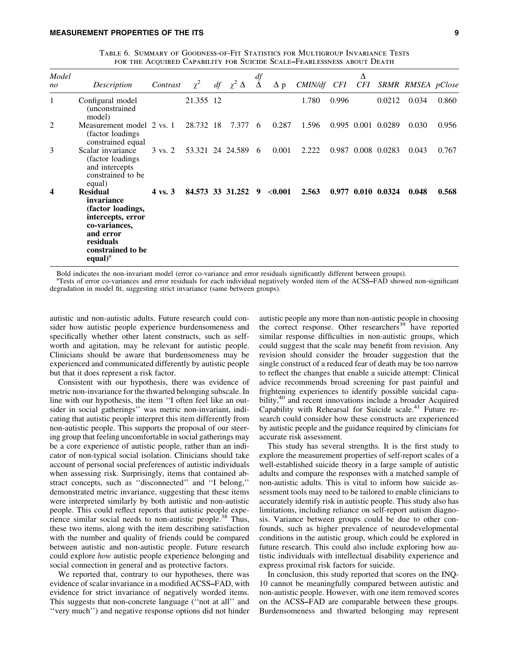| TABLE 6. SUMMARY OF GOODNESS-OF-FIT STATISTICS FOR MULTIGROUP INVARIANCE TESTS |
|--------------------------------------------------------------------------------|
| FOR THE ACQUIRED CAPABILITY FOR SUICIDE SCALE–FEARLESSNESS ABOUT DEATH         |

| Model<br>no | Description                                                                                                                                                    | Contrast           |           | $\chi^2$ df $\chi^2$ $\Delta$ | $\frac{df}{\Delta}$ | $\Delta p$ | CMIN/df CFI |       | Δ<br>CFI |                    | SRMR RMSEA pClose |       |
|-------------|----------------------------------------------------------------------------------------------------------------------------------------------------------------|--------------------|-----------|-------------------------------|---------------------|------------|-------------|-------|----------|--------------------|-------------------|-------|
| 1           | Configural model<br><i>(unconstrained)</i><br>model)                                                                                                           |                    | 21.355 12 |                               |                     |            | 1.780       | 0.996 |          | 0.0212             | 0.034             | 0.860 |
| 2           | Measurement model 2 vs. 1<br>(factor loadings)<br>constrained equal                                                                                            |                    | 28.732 18 | 7.377                         | 6                   | 0.287      | 1.596       |       |          | 0.995 0.001 0.0289 | 0.030             | 0.956 |
| 3           | Scalar invariance<br>(factor loadings)<br>and intercepts<br>constrained to be<br>equal)                                                                        | $3 \text{ vs. } 2$ |           | 53.321 24 24.589 6            |                     | 0.001      | 2.222       |       |          | 0.987 0.008 0.0283 | 0.043             | 0.767 |
| 4           | <b>Residual</b><br>invariance<br>(factor loadings,<br>intercepts, error<br>co-variances,<br>and error<br>residuals<br>constrained to be<br>equal) <sup>a</sup> | $4 \text{ vs. } 3$ |           | 84.573 33 31.252              | 9                   | < 0.001    | 2.563       |       |          | 0.977 0.010 0.0324 | 0.048             | 0.568 |

Bold indicates the non-invariant model (error co-variance and error residuals significantly different between groups).

access of error co-variances and error residuals for each individual negatively worded item of the ACSS–FAD showed non-significant degradation in model fit, suggesting strict invariance (same between groups).

autistic and non-autistic adults. Future research could consider how autistic people experience burdensomeness and specifically whether other latent constructs, such as selfworth and agitation, may be relevant for autistic people. Clinicians should be aware that burdensomeness may be experienced and communicated differently by autistic people but that it does represent a risk factor.

Consistent with our hypothesis, there was evidence of metric non-invariance for the thwarted belonging subscale. In line with our hypothesis, the item ''I often feel like an outsider in social gatherings'' was metric non-invariant, indicating that autistic people interpret this item differently from non-autistic people. This supports the proposal of our steering group that feeling uncomfortable in social gatherings may be a core experience of autistic people, rather than an indicator of non-typical social isolation. Clinicians should take account of personal social preferences of autistic individuals when assessing risk. Surprisingly, items that contained abstract concepts, such as ''disconnected'' and ''I belong,'' demonstrated metric invariance, suggesting that these items were interpreted similarly by both autistic and non-autistic people. This could reflect reports that autistic people experience similar social needs to non-autistic people.<sup>38</sup> Thus, these two items, along with the item describing satisfaction with the number and quality of friends could be compared between autistic and non-autistic people. Future research could explore *how* autistic people experience belonging and social connection in general and as protective factors.

We reported that, contrary to our hypotheses, there was evidence of scalar invariance in a modified ACSS–FAD, with evidence for strict invariance of negatively worded items. This suggests that non-concrete language (''not at all'' and ''very much'') and negative response options did not hinder autistic people any more than non-autistic people in choosing the correct response. Other researchers<sup>39</sup> have reported similar response difficulties in non-autistic groups, which could suggest that the scale may benefit from revision. Any revision should consider the broader suggestion that the single construct of a reduced fear of death may be too narrow to reflect the changes that enable a suicide attempt: Clinical advice recommends broad screening for past painful and frightening experiences to identify possible suicidal capability,<sup>40</sup> and recent innovations include a broader Acquired Capability with Rehearsal for Suicide scale.<sup>41</sup> Future research could consider how these constructs are experienced by autistic people and the guidance required by clinicians for accurate risk assessment.

This study has several strengths. It is the first study to explore the measurement properties of self-report scales of a well-established suicide theory in a large sample of autistic adults and compare the responses with a matched sample of non-autistic adults. This is vital to inform how suicide assessment tools may need to be tailored to enable clinicians to accurately identify risk in autistic people. This study also has limitations, including reliance on self-report autism diagnosis. Variance between groups could be due to other confounds, such as higher prevalence of neurodevelopmental conditions in the autistic group, which could be explored in future research. This could also include exploring how autistic individuals with intellectual disability experience and express proximal risk factors for suicide.

In conclusion, this study reported that scores on the INQ-10 cannot be meaningfully compared between autistic and non-autistic people. However, with one item removed scores on the ACSS–FAD are comparable between these groups. Burdensomeness and thwarted belonging may represent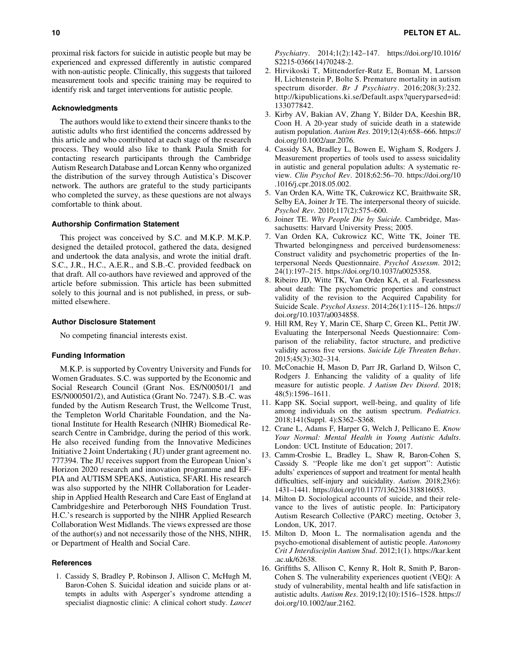proximal risk factors for suicide in autistic people but may be experienced and expressed differently in autistic compared with non-autistic people. Clinically, this suggests that tailored measurement tools and specific training may be required to identify risk and target interventions for autistic people.

## Acknowledgments

The authors would like to extend their sincere thanks to the autistic adults who first identified the concerns addressed by this article and who contributed at each stage of the research process. They would also like to thank Paula Smith for contacting research participants through the Cambridge Autism Research Database and Lorcan Kenny who organized the distribution of the survey through Autistica's Discover network. The authors are grateful to the study participants who completed the survey, as these questions are not always comfortable to think about.

## Authorship Confirmation Statement

This project was conceived by S.C. and M.K.P. M.K.P. designed the detailed protocol, gathered the data, designed and undertook the data analysis, and wrote the initial draft. S.C., J.R., H.C., A.E.R., and S.B.-C. provided feedback on that draft. All co-authors have reviewed and approved of the article before submission. This article has been submitted solely to this journal and is not published, in press, or submitted elsewhere.

# Author Disclosure Statement

No competing financial interests exist.

### Funding Information

M.K.P. is supported by Coventry University and Funds for Women Graduates. S.C. was supported by the Economic and Social Research Council (Grant Nos. ES/N00501/1 and ES/N000501/2), and Autistica (Grant No. 7247). S.B.-C. was funded by the Autism Research Trust, the Wellcome Trust, the Templeton World Charitable Foundation, and the National Institute for Health Research (NIHR) Biomedical Research Centre in Cambridge, during the period of this work. He also received funding from the Innovative Medicines Initiative 2 Joint Undertaking ( JU) under grant agreement no. 777394. The JU receives support from the European Union's Horizon 2020 research and innovation programme and EF-PIA and AUTISM SPEAKS, Autistica, SFARI. His research was also supported by the NIHR Collaboration for Leadership in Applied Health Research and Care East of England at Cambridgeshire and Peterborough NHS Foundation Trust. H.C.'s research is supported by the NIHR Applied Research Collaboration West Midlands. The views expressed are those of the author(s) and not necessarily those of the NHS, NIHR, or Department of Health and Social Care.

# **References**

1. Cassidy S, Bradley P, Robinson J, Allison C, McHugh M, Baron-Cohen S. Suicidal ideation and suicide plans or attempts in adults with Asperger's syndrome attending a specialist diagnostic clinic: A clinical cohort study. *Lancet*

*Psychiatry*. 2014;1(2):142–147. [https://doi.org/10.1016/](https://doi.org/10.1016/S2215-0366(14)70248-2) [S2215-0366\(14\)70248-2](https://doi.org/10.1016/S2215-0366(14)70248-2).

- 2. Hirvikoski T, Mittendorfer-Rutz E, Boman M, Larsson H, Lichtenstein P, Bolte S. Premature mortality in autism spectrum disorder. *Br J Psychiatry*. 2016;208(3):232. [http://kipublications.ki.se/Default.aspx?queryparsed=id:](http://kipublications.ki.se/Default.aspx?queryparsed=id:133077842) [133077842](http://kipublications.ki.se/Default.aspx?queryparsed=id:133077842).
- 3. Kirby AV, Bakian AV, Zhang Y, Bilder DA, Keeshin BR, Coon H. A 20-year study of suicide death in a statewide autism population. *Autism Res*. 2019;12(4):658–666. [https://](https://doi.org/10.1002/aur.2076) [doi.org/10.1002/aur.2076.](https://doi.org/10.1002/aur.2076)
- 4. Cassidy SA, Bradley L, Bowen E, Wigham S, Rodgers J. Measurement properties of tools used to assess suicidality in autistic and general population adults: A systematic review. *Clin Psychol Rev*. 2018;62:56–70. [https://doi.org/10](https://doi.org/10.1016/j.cpr.2018.05.002) [.1016/j.cpr.2018.05.002.](https://doi.org/10.1016/j.cpr.2018.05.002)
- 5. Van Orden KA, Witte TK, Cukrowicz KC, Braithwaite SR, Selby EA, Joiner Jr TE. The interpersonal theory of suicide. *Psychol Rev*. 2010;117(2):575–600.
- 6. Joiner TE. *Why People Die by Suicide.* Cambridge, Massachusetts: Harvard University Press; 2005.
- 7. Van Orden KA, Cukrowicz KC, Witte TK, Joiner TE. Thwarted belongingness and perceived burdensomeness: Construct validity and psychometric properties of the Interpersonal Needs Questionnaire. *Psychol Assessm*. 2012; 24(1):197–215. [https://doi.org/10.1037/a0025358.](https://doi.org/10.1037/a0025358)
- 8. Ribeiro JD, Witte TK, Van Orden KA, et al. Fearlessness about death: The psychometric properties and construct validity of the revision to the Acquired Capability for Suicide Scale. *Psychol Assess*. 2014;26(1):115–126. [https://](https://doi.org/10.1037/a0034858) [doi.org/10.1037/a0034858](https://doi.org/10.1037/a0034858).
- 9. Hill RM, Rey Y, Marin CE, Sharp C, Green KL, Pettit JW. Evaluating the Interpersonal Needs Questionnaire: Comparison of the reliability, factor structure, and predictive validity across five versions. *Suicide Life Threaten Behav*. 2015;45(3):302–314.
- 10. McConachie H, Mason D, Parr JR, Garland D, Wilson C, Rodgers J. Enhancing the validity of a quality of life measure for autistic people. *J Autism Dev Disord*. 2018; 48(5):1596–1611.
- 11. Kapp SK. Social support, well-being, and quality of life among individuals on the autism spectrum. *Pediatrics*. 2018;141(Suppl. 4):S362–S368.
- 12. Crane L, Adams F, Harper G, Welch J, Pellicano E. *Know Your Normal: Mental Health in Young Autistic Adults*. London: UCL Institute of Education; 2017.
- 13. Camm-Crosbie L, Bradley L, Shaw R, Baron-Cohen S, Cassidy S. ''People like me don't get support'': Autistic adults' experiences of support and treatment for mental health difficulties, self-injury and suicidality. *Autism*. 2018;23(6): 1431–1441.<https://doi.org/10.1177/1362361318816053>.
- 14. Milton D. Sociological accounts of suicide, and their relevance to the lives of autistic people. In: Participatory Autism Research Collective (PARC) meeting, October 3, London, UK, 2017.
- 15. Milton D, Moon L. The normalisation agenda and the psycho-emotional disablement of autistic people. *Autonomy Crit J Interdisciplin Autism Stud*. 2012;1(1). [https://kar.kent](https://kar.kent.ac.uk/62638) [.ac.uk/62638](https://kar.kent.ac.uk/62638).
- 16. Griffiths S, Allison C, Kenny R, Holt R, Smith P, Baron-Cohen S. The vulnerability experiences quotient (VEQ): A study of vulnerability, mental health and life satisfaction in autistic adults. *Autism Res*. 2019;12(10):1516–1528. [https://](https://doi.org/10.1002/aur.2162) [doi.org/10.1002/aur.2162](https://doi.org/10.1002/aur.2162).